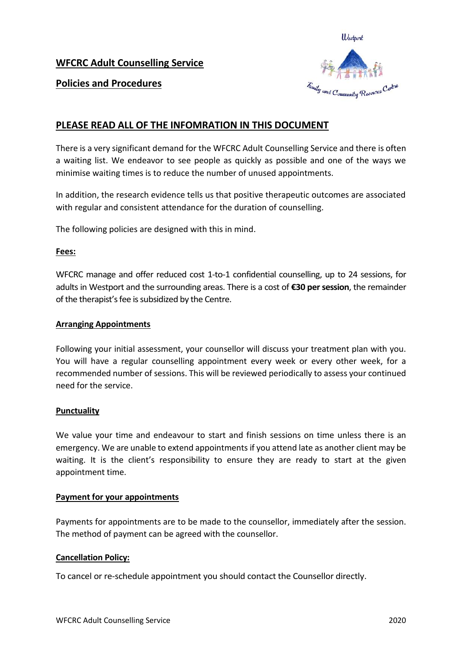## **WFCRC Adult Counselling Service**



## **Policies and Procedures**

# **PLEASE READ ALL OF THE INFOMRATION IN THIS DOCUMENT**

There is a very significant demand for the WFCRC Adult Counselling Service and there is often a waiting list. We endeavor to see people as quickly as possible and one of the ways we minimise waiting times is to reduce the number of unused appointments.

In addition, the research evidence tells us that positive therapeutic outcomes are associated with regular and consistent attendance for the duration of counselling.

The following policies are designed with this in mind.

#### **Fees:**

WFCRC manage and offer reduced cost 1-to-1 confidential counselling, up to 24 sessions, for adults in Westport and the surrounding areas. There is a cost of **€30 per session**, the remainder of the therapist's fee is subsidized by the Centre.

#### **Arranging Appointments**

Following your initial assessment, your counsellor will discuss your treatment plan with you. You will have a regular counselling appointment every week or every other week, for a recommended number of sessions. This will be reviewed periodically to assess your continued need for the service.

#### **Punctuality**

We value your time and endeavour to start and finish sessions on time unless there is an emergency. We are unable to extend appointments if you attend late as another client may be waiting. It is the client's responsibility to ensure they are ready to start at the given appointment time.

#### **Payment for your appointments**

Payments for appointments are to be made to the counsellor, immediately after the session. The method of payment can be agreed with the counsellor.

#### **Cancellation Policy:**

To cancel or re-schedule appointment you should contact the Counsellor directly.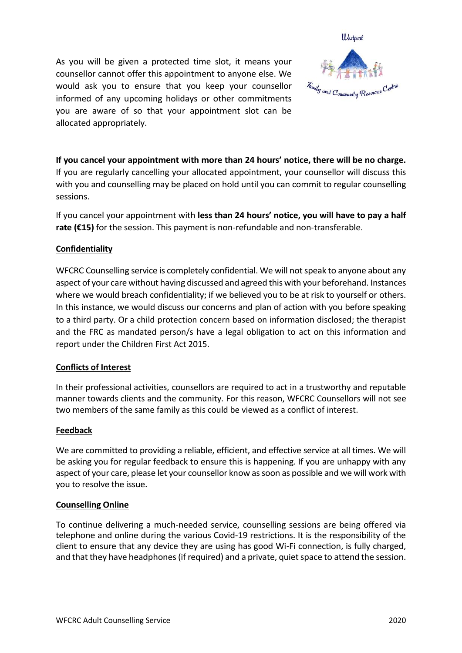As you will be given a protected time slot, it means your counsellor cannot offer this appointment to anyone else. We would ask you to ensure that you keep your counsellor informed of any upcoming holidays or other commitments you are aware of so that your appointment slot can be allocated appropriately.



**If you cancel your appointment with more than 24 hours' notice, there will be no charge.** If you are regularly cancelling your allocated appointment, your counsellor will discuss this with you and counselling may be placed on hold until you can commit to regular counselling sessions.

If you cancel your appointment with **less than 24 hours' notice, you will have to pay a half rate (€15)** for the session. This payment is non-refundable and non-transferable.

## **Confidentiality**

WFCRC Counselling service is completely confidential. We will not speak to anyone about any aspect of your care without having discussed and agreed this with your beforehand. Instances where we would breach confidentiality; if we believed you to be at risk to yourself or others. In this instance, we would discuss our concerns and plan of action with you before speaking to a third party. Or a child protection concern based on information disclosed; the therapist and the FRC as mandated person/s have a legal obligation to act on this information and report under the Children First Act 2015.

## **Conflicts of Interest**

In their professional activities, counsellors are required to act in a trustworthy and reputable manner towards clients and the community. For this reason, WFCRC Counsellors will not see two members of the same family as this could be viewed as a conflict of interest.

## **Feedback**

We are committed to providing a reliable, efficient, and effective service at all times. We will be asking you for regular feedback to ensure this is happening. If you are unhappy with any aspect of your care, please let your counsellor know as soon as possible and we will work with you to resolve the issue.

## **Counselling Online**

To continue delivering a much-needed service, counselling sessions are being offered via telephone and online during the various Covid-19 restrictions. It is the responsibility of the client to ensure that any device they are using has good Wi-Fi connection, is fully charged, and that they have headphones (if required) and a private, quiet space to attend the session.